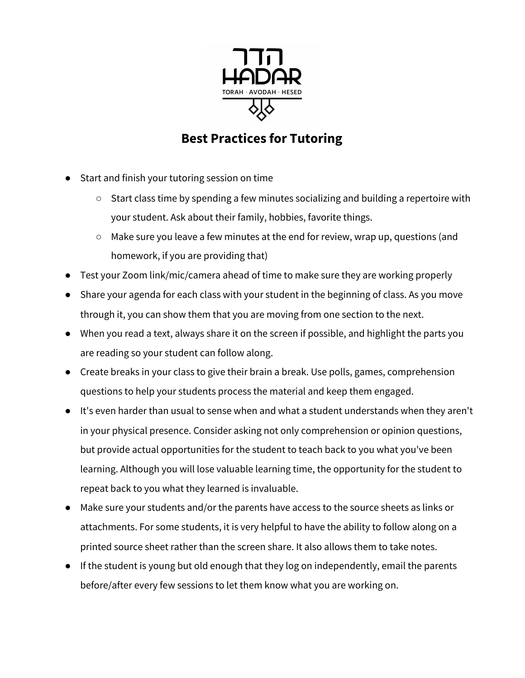

## **Best Practices for Tutoring**

- Start and finish your tutoring session on time
	- Start class time by spending a few minutes socializing and building a repertoire with your student. Ask about their family, hobbies, favorite things.
	- Make sure you leave a few minutes at the end for review, wrap up, questions (and homework, if you are providing that)
- Test your Zoom link/mic/camera ahead of time to make sure they are working properly
- Share your agenda for each class with your student in the beginning of class. As you move through it, you can show them that you are moving from one section to the next.
- When you read a text, always share it on the screen if possible, and highlight the parts you are reading so your student can follow along.
- Create breaks in your class to give their brain a break. Use polls, games, comprehension questions to help your students process the material and keep them engaged.
- It's even harder than usual to sense when and what a student understands when they aren't in your physical presence. Consider asking not only comprehension or opinion questions, but provide actual opportunities for the student to teach back to you what you've been learning. Although you will lose valuable learning time, the opportunity for the student to repeat back to you what they learned is invaluable.
- Make sure your students and/or the parents have access to the source sheets as links or attachments. For some students, it is very helpful to have the ability to follow along on a printed source sheet rather than the screen share. It also allows them to take notes.
- If the student is young but old enough that they log on independently, email the parents before/after every few sessions to let them know what you are working on.